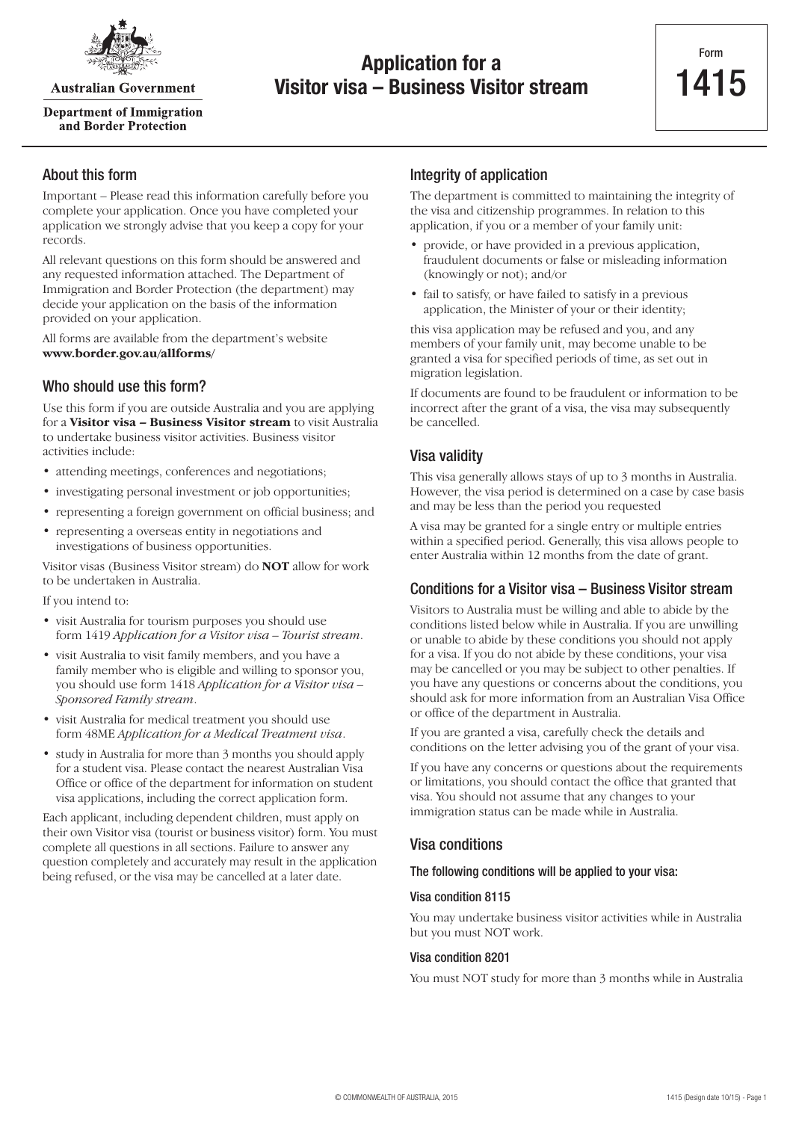

**Australian Government** 

**Department of Immigration** and Border Protection

## **Application for a Visitor visa – Business Visitor stream**

## About this form

Important – Please read this information carefully before you complete your application. Once you have completed your application we strongly advise that you keep a copy for your records.

All relevant questions on this form should be answered and any requested information attached. The Department of Immigration and Border Protection (the department) may decide your application on the basis of the information provided on your application.

All forms are available from the department's website **www.border.gov.au/allforms/**

## Who should use this form?

Use this form if you are outside Australia and you are applying for a **Visitor visa – Business Visitor stream** to visit Australia to undertake business visitor activities. Business visitor activities include:

- attending meetings, conferences and negotiations;
- investigating personal investment or job opportunities;
- representing a foreign government on official business; and
- representing a overseas entity in negotiations and investigations of business opportunities.

Visitor visas (Business Visitor stream) do **NOT** allow for work to be undertaken in Australia.

If you intend to:

- visit Australia for tourism purposes you should use form 1419 *Application for a Visitor visa – Tourist stream*.
- visit Australia to visit family members, and you have a family member who is eligible and willing to sponsor you, you should use form 1418 *Application for a Visitor visa – Sponsored Family stream*.
- visit Australia for medical treatment you should use form 48ME *Application for a Medical Treatment visa*.
- study in Australia for more than 3 months you should apply for a student visa. Please contact the nearest Australian Visa Office or office of the department for information on student visa applications, including the correct application form.

Each applicant, including dependent children, must apply on their own Visitor visa (tourist or business visitor) form. You must complete all questions in all sections. Failure to answer any question completely and accurately may result in the application being refused, or the visa may be cancelled at a later date.

## Integrity of application

The department is committed to maintaining the integrity of the visa and citizenship programmes. In relation to this application, if you or a member of your family unit:

- provide, or have provided in a previous application, fraudulent documents or false or misleading information (knowingly or not); and/or
- fail to satisfy, or have failed to satisfy in a previous application, the Minister of your or their identity;

this visa application may be refused and you, and any members of your family unit, may become unable to be granted a visa for specified periods of time, as set out in migration legislation.

If documents are found to be fraudulent or information to be incorrect after the grant of a visa, the visa may subsequently be cancelled.

## Visa validity

This visa generally allows stays of up to 3 months in Australia. However, the visa period is determined on a case by case basis and may be less than the period you requested

A visa may be granted for a single entry or multiple entries within a specified period. Generally, this visa allows people to enter Australia within 12 months from the date of grant.

## Conditions for a Visitor visa – Business Visitor stream

Visitors to Australia must be willing and able to abide by the conditions listed below while in Australia. If you are unwilling or unable to abide by these conditions you should not apply for a visa. If you do not abide by these conditions, your visa may be cancelled or you may be subject to other penalties. If you have any questions or concerns about the conditions, you should ask for more information from an Australian Visa Office or office of the department in Australia.

If you are granted a visa, carefully check the details and conditions on the letter advising you of the grant of your visa.

If you have any concerns or questions about the requirements or limitations, you should contact the office that granted that visa. You should not assume that any changes to your immigration status can be made while in Australia.

### Visa conditions

#### The following conditions will be applied to your visa:

#### Visa condition 8115

You may undertake business visitor activities while in Australia but you must NOT work.

#### Visa condition 8201

You must NOT study for more than 3 months while in Australia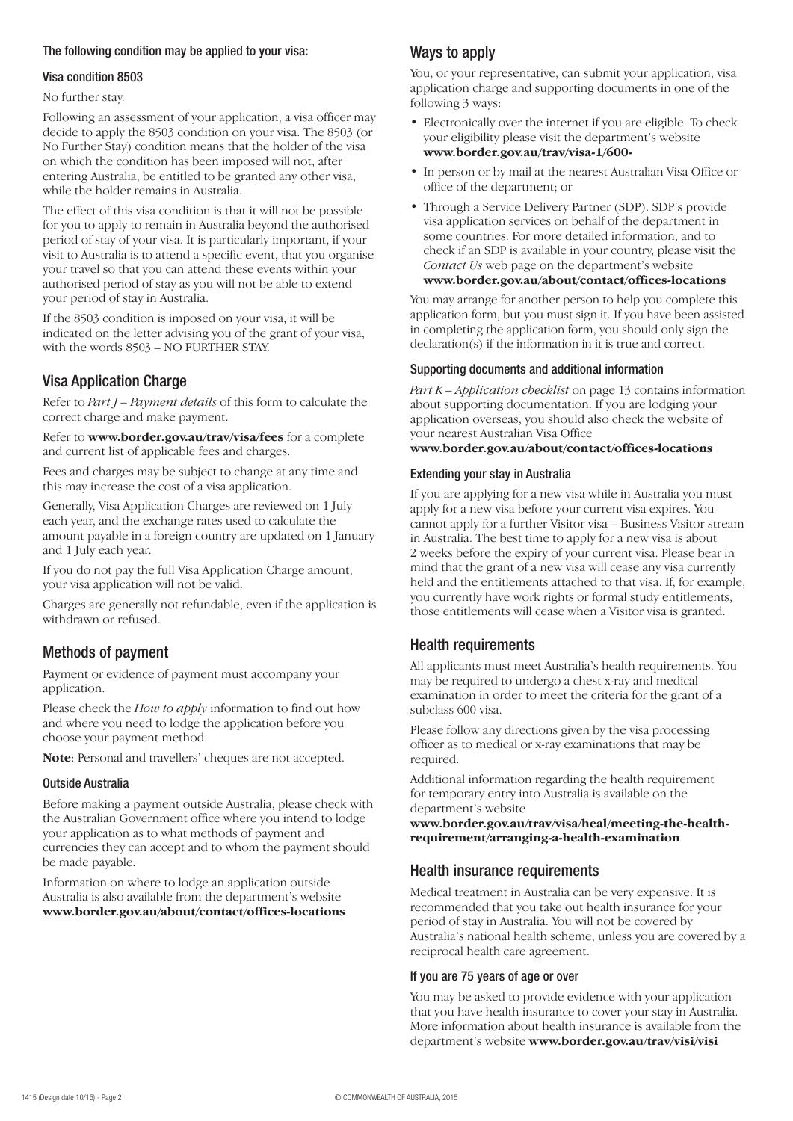#### The following condition may be applied to your visa:

#### Visa condition 8503

No further stay.

Following an assessment of your application, a visa officer may decide to apply the 8503 condition on your visa. The 8503 (or No Further Stay) condition means that the holder of the visa on which the condition has been imposed will not, after entering Australia, be entitled to be granted any other visa, while the holder remains in Australia.

The effect of this visa condition is that it will not be possible for you to apply to remain in Australia beyond the authorised period of stay of your visa. It is particularly important, if your visit to Australia is to attend a specific event, that you organise your travel so that you can attend these events within your authorised period of stay as you will not be able to extend your period of stay in Australia.

If the 8503 condition is imposed on your visa, it will be indicated on the letter advising you of the grant of your visa, with the words 8503 – NO FURTHER STAY.

## Visa Application Charge

Refer to *Part J – Payment details* of this form to calculate the correct charge and make payment.

Refer to **www.border.gov.au/trav/visa/fees** for a complete and current list of applicable fees and charges.

Fees and charges may be subject to change at any time and this may increase the cost of a visa application.

Generally, Visa Application Charges are reviewed on 1 July each year, and the exchange rates used to calculate the amount payable in a foreign country are updated on 1 January and 1 July each year.

If you do not pay the full Visa Application Charge amount, your visa application will not be valid.

Charges are generally not refundable, even if the application is withdrawn or refused.

## Methods of payment

Payment or evidence of payment must accompany your application.

Please check the *How to apply* information to find out how and where you need to lodge the application before you choose your payment method.

**Note**: Personal and travellers' cheques are not accepted.

#### Outside Australia

Before making a payment outside Australia, please check with the Australian Government office where you intend to lodge your application as to what methods of payment and currencies they can accept and to whom the payment should be made payable.

Information on where to lodge an application outside Australia is also available from the department's website **www.border.gov.au/about/contact/offices-locations**

## Ways to apply

You, or your representative, can submit your application, visa application charge and supporting documents in one of the following 3 ways:

- Electronically over the internet if you are eligible. To check your eligibility please visit the department's website **www.border.gov.au/trav/visa-1/600-**
- In person or by mail at the nearest Australian Visa Office or office of the department; or
- Through a Service Delivery Partner (SDP). SDP's provide visa application services on behalf of the department in some countries. For more detailed information, and to check if an SDP is available in your country, please visit the *Contact Us* web page on the department's website **www.border.gov.au/about/contact/offices-locations**

You may arrange for another person to help you complete this application form, but you must sign it. If you have been assisted in completing the application form, you should only sign the declaration(s) if the information in it is true and correct.

#### Supporting documents and additional information

*Part K – Application checklist* on page 13 contains information about supporting documentation. If you are lodging your application overseas, you should also check the website of your nearest Australian Visa Office **www.border.gov.au/about/contact/offices-locations**

#### Extending your stay in Australia

If you are applying for a new visa while in Australia you must apply for a new visa before your current visa expires. You cannot apply for a further Visitor visa – Business Visitor stream in Australia. The best time to apply for a new visa is about 2 weeks before the expiry of your current visa. Please bear in mind that the grant of a new visa will cease any visa currently held and the entitlements attached to that visa. If, for example, you currently have work rights or formal study entitlements, those entitlements will cease when a Visitor visa is granted.

## Health requirements

All applicants must meet Australia's health requirements. You may be required to undergo a chest x-ray and medical examination in order to meet the criteria for the grant of a subclass 600 visa.

Please follow any directions given by the visa processing officer as to medical or x-ray examinations that may be required.

Additional information regarding the health requirement for temporary entry into Australia is available on the department's website

**www.border.gov.au/trav/visa/heal/meeting-the-healthrequirement/arranging-a-health-examination**

### Health insurance requirements

Medical treatment in Australia can be very expensive. It is recommended that you take out health insurance for your period of stay in Australia. You will not be covered by Australia's national health scheme, unless you are covered by a reciprocal health care agreement.

#### If you are 75 years of age or over

You may be asked to provide evidence with your application that you have health insurance to cover your stay in Australia. More information about health insurance is available from the department's website **www.border.gov.au/trav/visi/visi**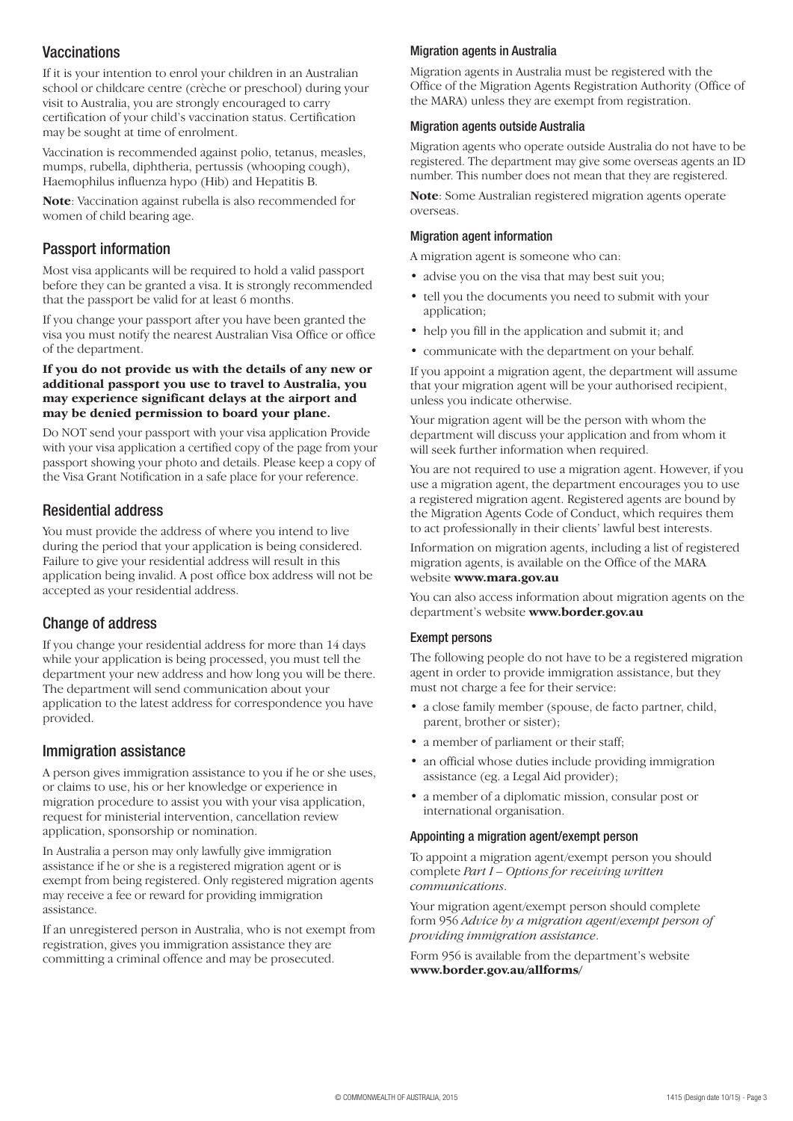## **Vaccinations**

If it is your intention to enrol your children in an Australian school or childcare centre (crèche or preschool) during your visit to Australia, you are strongly encouraged to carry certification of your child's vaccination status. Certification may be sought at time of enrolment.

Vaccination is recommended against polio, tetanus, measles, mumps, rubella, diphtheria, pertussis (whooping cough), Haemophilus influenza hypo (Hib) and Hepatitis B.

**Note**: Vaccination against rubella is also recommended for women of child bearing age.

## Passport information

Most visa applicants will be required to hold a valid passport before they can be granted a visa. It is strongly recommended that the passport be valid for at least 6 months.

If you change your passport after you have been granted the visa you must notify the nearest Australian Visa Office or office of the department.

#### **If you do not provide us with the details of any new or additional passport you use to travel to Australia, you may experience significant delays at the airport and may be denied permission to board your plane.**

Do NOT send your passport with your visa application Provide with your visa application a certified copy of the page from your passport showing your photo and details. Please keep a copy of the Visa Grant Notification in a safe place for your reference.

## Residential address

You must provide the address of where you intend to live during the period that your application is being considered. Failure to give your residential address will result in this application being invalid. A post office box address will not be accepted as your residential address.

## Change of address

If you change your residential address for more than 14 days while your application is being processed, you must tell the department your new address and how long you will be there. The department will send communication about your application to the latest address for correspondence you have provided.

### Immigration assistance

A person gives immigration assistance to you if he or she uses, or claims to use, his or her knowledge or experience in migration procedure to assist you with your visa application, request for ministerial intervention, cancellation review application, sponsorship or nomination.

In Australia a person may only lawfully give immigration assistance if he or she is a registered migration agent or is exempt from being registered. Only registered migration agents may receive a fee or reward for providing immigration assistance.

If an unregistered person in Australia, who is not exempt from registration, gives you immigration assistance they are committing a criminal offence and may be prosecuted.

#### Migration agents in Australia

Migration agents in Australia must be registered with the Office of the Migration Agents Registration Authority (Office of the MARA) unless they are exempt from registration.

#### Migration agents outside Australia

Migration agents who operate outside Australia do not have to be registered. The department may give some overseas agents an ID number. This number does not mean that they are registered.

**Note**: Some Australian registered migration agents operate overseas.

#### Migration agent information

A migration agent is someone who can:

- advise you on the visa that may best suit you;
- tell you the documents you need to submit with your application;
- help you fill in the application and submit it; and
- communicate with the department on your behalf.

If you appoint a migration agent, the department will assume that your migration agent will be your authorised recipient, unless you indicate otherwise.

Your migration agent will be the person with whom the department will discuss your application and from whom it will seek further information when required.

You are not required to use a migration agent. However, if you use a migration agent, the department encourages you to use a registered migration agent. Registered agents are bound by the Migration Agents Code of Conduct, which requires them to act professionally in their clients' lawful best interests.

Information on migration agents, including a list of registered migration agents, is available on the Office of the MARA website **www.mara.gov.au**

You can also access information about migration agents on the department's website **www.border.gov.au**

#### Exempt persons

The following people do not have to be a registered migration agent in order to provide immigration assistance, but they must not charge a fee for their service:

- a close family member (spouse, de facto partner, child, parent, brother or sister);
- a member of parliament or their staff;
- an official whose duties include providing immigration assistance (eg. a Legal Aid provider);
- a member of a diplomatic mission, consular post or international organisation.

#### Appointing a migration agent/exempt person

To appoint a migration agent/exempt person you should complete *Part I – Options for receiving written communications*.

Your migration agent/exempt person should complete form 956 *Advice by a migration agent/exempt person of providing immigration assistance*.

Form 956 is available from the department's website **www.border.gov.au/allforms/**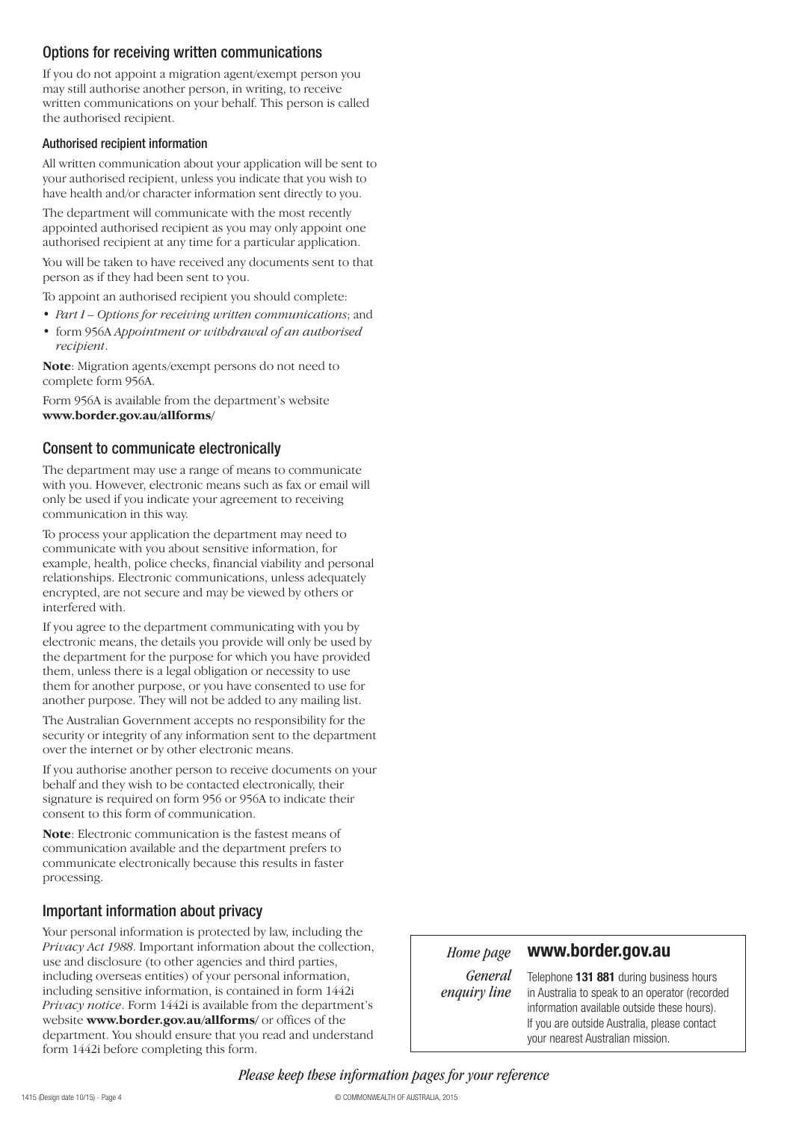## Options for receiving written communications

If you do not appoint a migration agent/exempt person you may still authorise another person, in writing, to receive written communications on your behalf. This person is called the authorised recipient.

#### Authorised recipient information

All written communication about your application will be sent to your authorised recipient, unless you indicate that you wish to have health and/or character information sent directly to you.

The department will communicate with the most recently appointed authorised recipient as you may only appoint one authorised recipient at any time for a particular application.

You will be taken to have received any documents sent to that person as if they had been sent to you.

To appoint an authorised recipient you should complete:

- *Part I Options for receiving written communications*; and
- form 956A *Appointment or withdrawal of an authorised recipient*.

**Note**: Migration agents/exempt persons do not need to complete form 956A.

Form 956A is available from the department's website **www.border.gov.au/allforms/**

#### Consent to communicate electronically

The department may use a range of means to communicate with you. However, electronic means such as fax or email will only be used if you indicate your agreement to receiving communication in this way.

To process your application the department may need to communicate with you about sensitive information, for example, health, police checks, financial viability and personal relationships. Electronic communications, unless adequately encrypted, are not secure and may be viewed by others or interfered with.

If you agree to the department communicating with you by electronic means, the details you provide will only be used by the department for the purpose for which you have provided them, unless there is a legal obligation or necessity to use them for another purpose, or you have consented to use for another purpose. They will not be added to any mailing list.

The Australian Government accepts no responsibility for the security or integrity of any information sent to the department over the internet or by other electronic means.

If you authorise another person to receive documents on your behalf and they wish to be contacted electronically, their signature is required on form 956 or 956A to indicate their consent to this form of communication.

**Note**: Electronic communication is the fastest means of communication available and the department prefers to communicate electronically because this results in faster processing.

### Important information about privacy

Your personal information is protected by law, including the *Privacy Act 1988*. Important information about the collection, use and disclosure (to other agencies and third parties, including overseas entities) of your personal information, including sensitive information, is contained in form 1442i *Privacy notice*. Form 1442i is available from the department's website **www.border.gov.au/allforms/** or offices of the department. You should ensure that you read and understand form 1442i before completing this form.

*Home page*

### **www.border.gov.au**

*General enquiry line*

Telephone **131 881** during business hours in Australia to speak to an operator (recorded information available outside these hours). If you are outside Australia, please contact your nearest Australian mission.

*Please keep these information pages for your reference*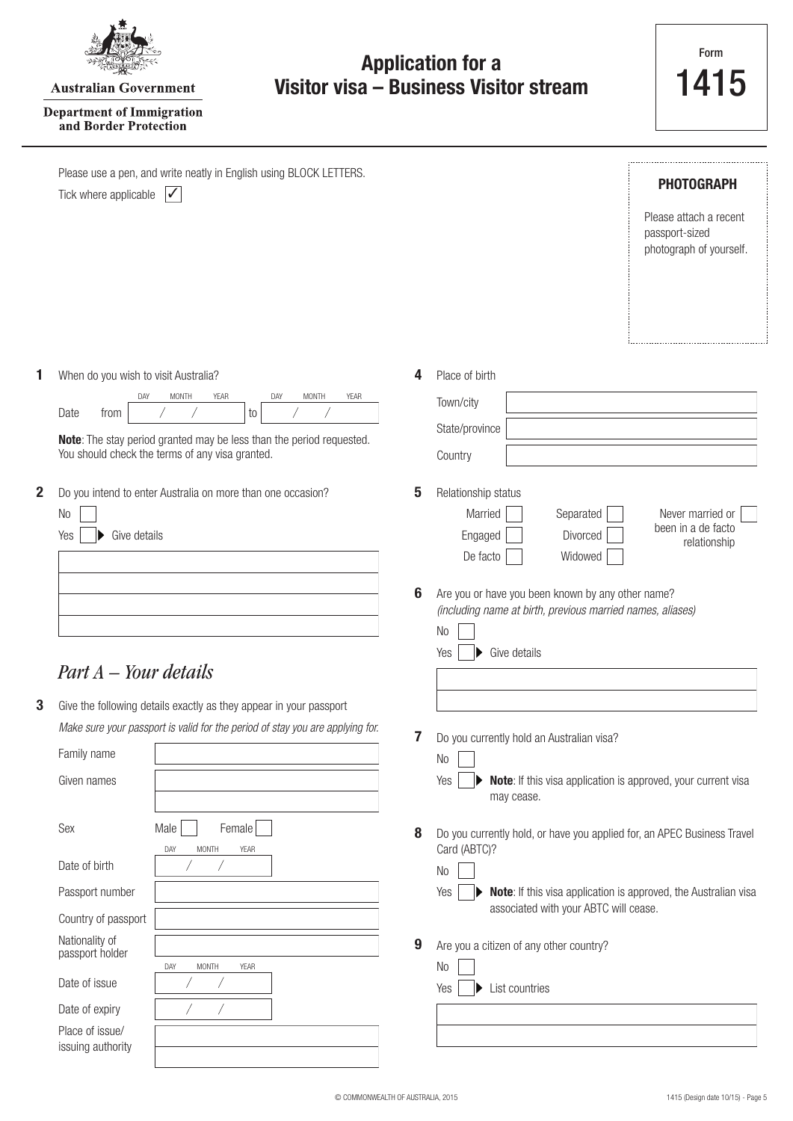|--|

**Australian Government** 

#### **Department of Immigration** and Border Protection

|   | Please use a pen, and write neatly in English using BLOCK LETTERS.<br>$\boldsymbol{V}$<br>Tick where applicable                                     |   | PHOTOGRAPH<br>Please attach a recent<br>passport-sized<br>photograph of yourself.                               |
|---|-----------------------------------------------------------------------------------------------------------------------------------------------------|---|-----------------------------------------------------------------------------------------------------------------|
|   | When do you wish to visit Australia?                                                                                                                | 4 | Place of birth                                                                                                  |
|   | <b>MONTH</b><br>YEAR<br>DAY<br><b>MONTH</b><br>YEAR<br>DAY<br>from<br>Date<br>to                                                                    |   | Town/city                                                                                                       |
|   | Note: The stay period granted may be less than the period requested.                                                                                |   | State/province                                                                                                  |
|   | You should check the terms of any visa granted.                                                                                                     |   | Country                                                                                                         |
| 2 | Do you intend to enter Australia on more than one occasion?                                                                                         | 5 | Relationship status                                                                                             |
|   | No                                                                                                                                                  |   | Married<br>Separated<br>Never married or<br>been in a de facto                                                  |
|   | Give details<br>Yes                                                                                                                                 |   | Engaged<br>Divorced<br>relationship<br>De facto<br>Widowed                                                      |
|   |                                                                                                                                                     |   |                                                                                                                 |
|   |                                                                                                                                                     | 6 | Are you or have you been known by any other name?<br>(including name at birth, previous married names, aliases) |
|   |                                                                                                                                                     |   | N <sub>0</sub>                                                                                                  |
|   | $Part A - Your details$                                                                                                                             |   | Give details<br>Yes                                                                                             |
|   |                                                                                                                                                     |   |                                                                                                                 |
| 3 | Give the following details exactly as they appear in your passport<br>Make sure your passport is valid for the period of stay you are applying for. |   |                                                                                                                 |
|   | Family name                                                                                                                                         | 7 | Do you currently hold an Australian visa?                                                                       |
|   | Given names                                                                                                                                         |   | N <sub>0</sub><br>Yes<br>Note: If this visa application is approved, your current visa                          |
|   |                                                                                                                                                     |   | may cease.                                                                                                      |
|   | Sex<br>Male<br>Female                                                                                                                               | 8 | Do you currently hold, or have you applied for, an APEC Business Travel                                         |
|   | DAY<br><b>MONTH</b><br>YEAR<br>Date of birth                                                                                                        |   | Card (ABTC)?<br>No                                                                                              |
|   | Passport number                                                                                                                                     |   | Yes<br>Note: If this visa application is approved, the Australian visa                                          |
|   | Country of passport                                                                                                                                 |   | associated with your ABTC will cease.                                                                           |
|   | Nationality of<br>passport holder                                                                                                                   | 9 | Are you a citizen of any other country?                                                                         |
|   | DAY<br>MONTH<br>YEAR<br>Date of issue                                                                                                               |   | No                                                                                                              |
|   | Date of expiry                                                                                                                                      |   | List countries<br>Yes                                                                                           |
|   | Place of issue/                                                                                                                                     |   |                                                                                                                 |
|   | issuing authority                                                                                                                                   |   |                                                                                                                 |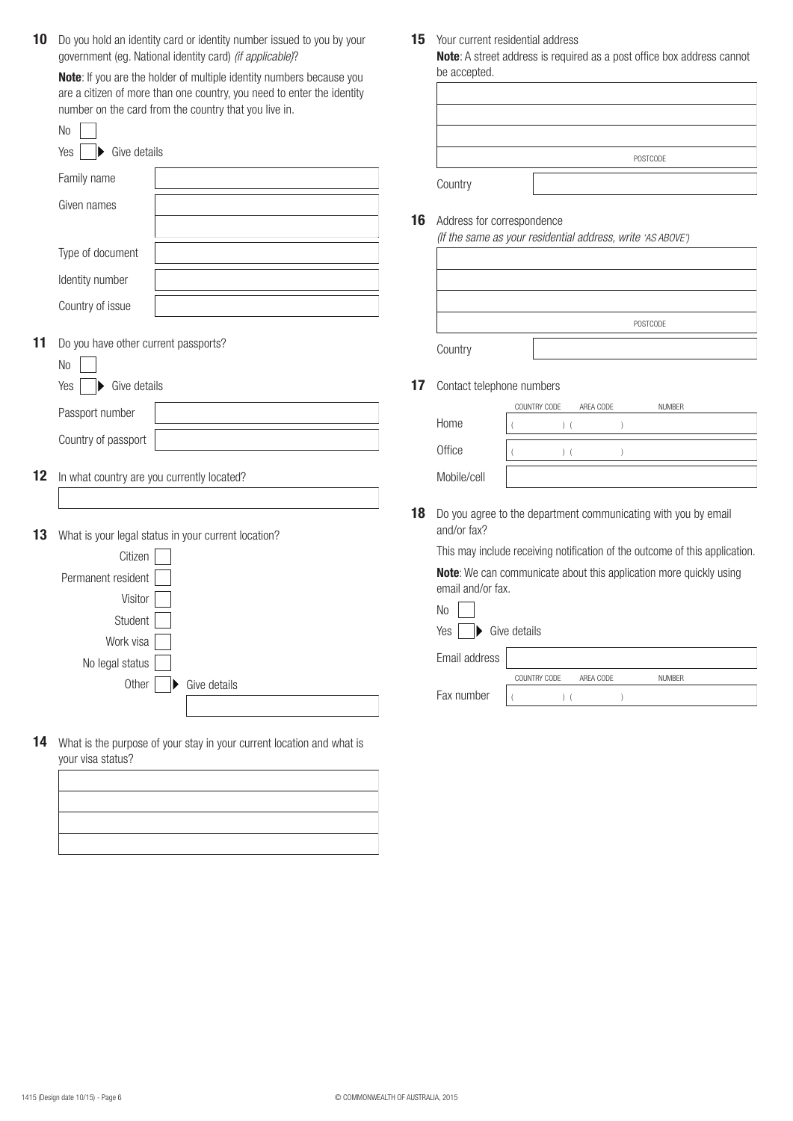10 Do you hold an identity card or identity number issued to you by your government (eg. National identity card) *(if applicable)*?

**Note**: If you are the holder of multiple identity numbers because you are a citizen of more than one country, you need to enter the identity number on the card from the country that you live in.

|    | N <sub>o</sub>                                         |              |    |                           |
|----|--------------------------------------------------------|--------------|----|---------------------------|
|    | Yes<br>Give details                                    |              |    |                           |
|    | Family name                                            |              |    | Country                   |
|    | Given names                                            |              | 16 | Address fo<br>(If the sam |
|    | Type of document                                       |              |    |                           |
|    | Identity number                                        |              |    |                           |
|    | Country of issue                                       |              |    |                           |
| 11 | Do you have other current passports?<br>N <sub>o</sub> |              |    | Country                   |
|    | Give details<br>Yes                                    |              | 17 | Contact tel               |
|    | Passport number                                        |              |    | Home                      |
|    | Country of passport                                    |              |    | Office                    |
| 12 | In what country are you currently located?             |              |    | Mobile/cell               |
| 13 | What is your legal status in your current location?    |              | 18 | Do you agr<br>and/or fax' |
|    | Citizen                                                |              |    | This may in               |
|    | Permanent resident                                     |              |    | Note: We o<br>email and/  |
|    | Visitor                                                |              |    | N <sub>0</sub>            |
|    | Student                                                |              |    | Yes<br>Þ                  |
|    | Work visa                                              |              |    |                           |
|    | No legal status                                        |              |    | Email addr                |
|    | Other                                                  | Give details |    | Fax numbe                 |
|    |                                                        |              |    |                           |

**14** What is the purpose of your stay in your current location and what is your visa status?



15 Your current residential address

**Note**: A street address is required as a post office box address cannot be accepted.

|         | POSTCODE |
|---------|----------|
| Country |          |

#### **16** Address for correspondence

*(If the same as your residential address, write 'AS ABOVE')*

|         | POSTCODE |
|---------|----------|
| Country |          |

**17** Contact telephone numbers

|             | COUNTRY CODE | AREA CODE | <b>NUMBER</b> |  |
|-------------|--------------|-----------|---------------|--|
| Home        |              |           |               |  |
| Office      |              |           |               |  |
| Mobile/cell |              |           |               |  |

**18** Do you agree to the department communicating with you by email and/or fax?

This may include receiving notification of the outcome of this application.

**Note**: We can communicate about this application more quickly using email and/or fax.

| No                                        |              |           |               |  |  |  |  |
|-------------------------------------------|--------------|-----------|---------------|--|--|--|--|
| Yes<br>$\blacktriangleright$ Give details |              |           |               |  |  |  |  |
| Email address                             |              |           |               |  |  |  |  |
|                                           | COUNTRY CODE | AREA CODE | <b>NUMBER</b> |  |  |  |  |
| Fax number                                |              |           |               |  |  |  |  |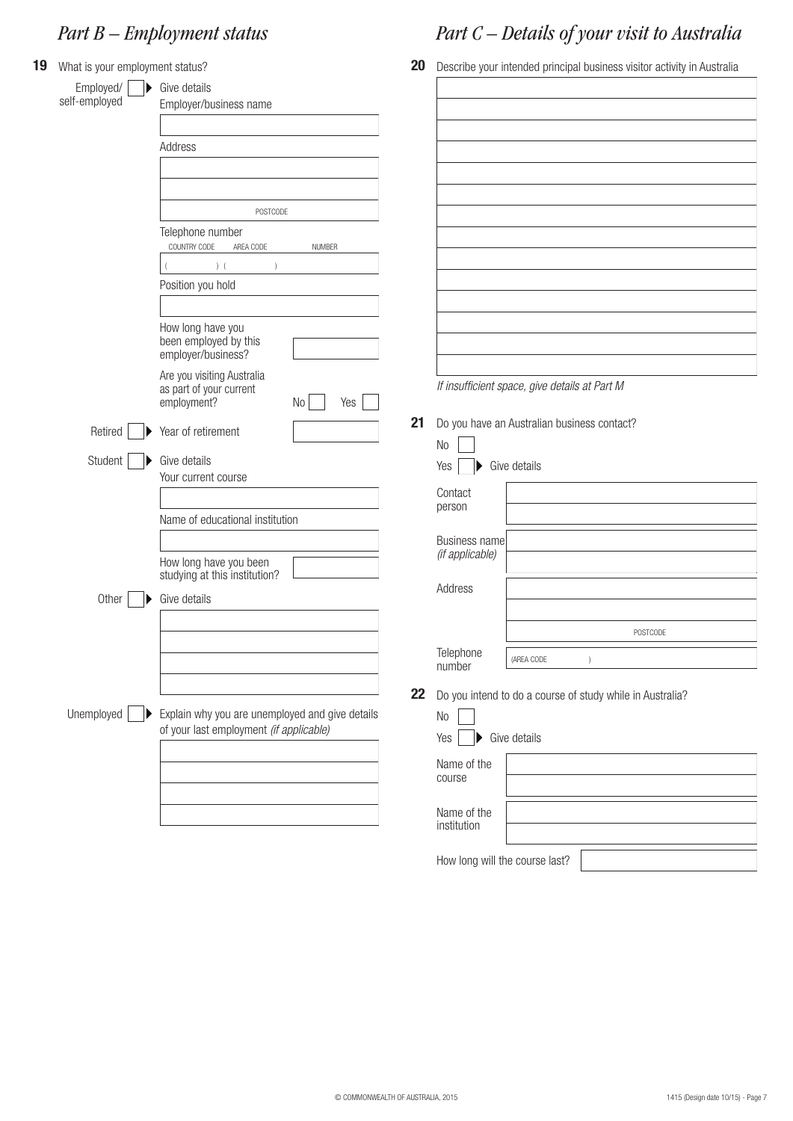# *Part B – Employment status*

| 19 | What is your employment status? |                                                           | 20 |                                               |            | Describe your intended principal business visitor activity in Australia |  |
|----|---------------------------------|-----------------------------------------------------------|----|-----------------------------------------------|------------|-------------------------------------------------------------------------|--|
|    | Employed/<br>D<br>self-employed | Give details<br>Employer/business name                    |    |                                               |            |                                                                         |  |
|    |                                 |                                                           |    |                                               |            |                                                                         |  |
|    |                                 | Address                                                   |    |                                               |            |                                                                         |  |
|    |                                 |                                                           |    |                                               |            |                                                                         |  |
|    |                                 |                                                           |    |                                               |            |                                                                         |  |
|    |                                 | POSTCODE                                                  |    |                                               |            |                                                                         |  |
|    |                                 | Telephone number                                          |    |                                               |            |                                                                         |  |
|    |                                 | COUNTRY CODE<br><b>NUMBER</b><br>AREA CODE                |    |                                               |            |                                                                         |  |
|    |                                 | ) (<br>$\lambda$                                          |    |                                               |            |                                                                         |  |
|    |                                 | Position you hold                                         |    |                                               |            |                                                                         |  |
|    |                                 |                                                           |    |                                               |            |                                                                         |  |
|    |                                 | How long have you<br>been employed by this                |    |                                               |            |                                                                         |  |
|    |                                 | employer/business?                                        |    |                                               |            |                                                                         |  |
|    |                                 | Are you visiting Australia                                |    |                                               |            |                                                                         |  |
|    |                                 | as part of your current<br>employment?<br>$\rm No$<br>Yes |    | If insufficient space, give details at Part M |            |                                                                         |  |
|    |                                 |                                                           | 21 | Do you have an Australian business contact?   |            |                                                                         |  |
|    | Retired                         | Year of retirement                                        |    | N <sub>0</sub>                                |            |                                                                         |  |
|    | Student                         | Give details                                              |    | Give details<br>Yes                           |            |                                                                         |  |
|    |                                 | Your current course                                       |    |                                               |            |                                                                         |  |
|    |                                 |                                                           |    | Contact<br>person                             |            |                                                                         |  |
|    |                                 | Name of educational institution                           |    |                                               |            |                                                                         |  |
|    |                                 |                                                           |    | Business name                                 |            |                                                                         |  |
|    |                                 | How long have you been                                    |    | (if applicable)                               |            |                                                                         |  |
|    |                                 | studying at this institution?                             |    | Address                                       |            |                                                                         |  |
|    | Other                           | Give details                                              |    |                                               |            |                                                                         |  |
|    |                                 |                                                           |    |                                               |            | POSTCODE                                                                |  |
|    |                                 |                                                           |    | Telephone                                     |            |                                                                         |  |
|    |                                 |                                                           |    | number                                        | (AREA CODE |                                                                         |  |
|    |                                 |                                                           | 22 |                                               |            | Do you intend to do a course of study while in Australia?               |  |
|    | Unemployed                      | Explain why you are unemployed and give details           |    | No                                            |            |                                                                         |  |
|    |                                 | of your last employment (if applicable)                   |    | Give details<br>Yes                           |            |                                                                         |  |
|    |                                 |                                                           |    |                                               |            |                                                                         |  |
|    |                                 |                                                           |    | Name of the<br>course                         |            |                                                                         |  |
|    |                                 |                                                           |    |                                               |            |                                                                         |  |
|    |                                 |                                                           |    | Name of the                                   |            |                                                                         |  |
|    |                                 |                                                           |    | institution                                   |            |                                                                         |  |
|    |                                 |                                                           |    | How long will the course last?                |            |                                                                         |  |

*Part C – Details of your visit to Australia*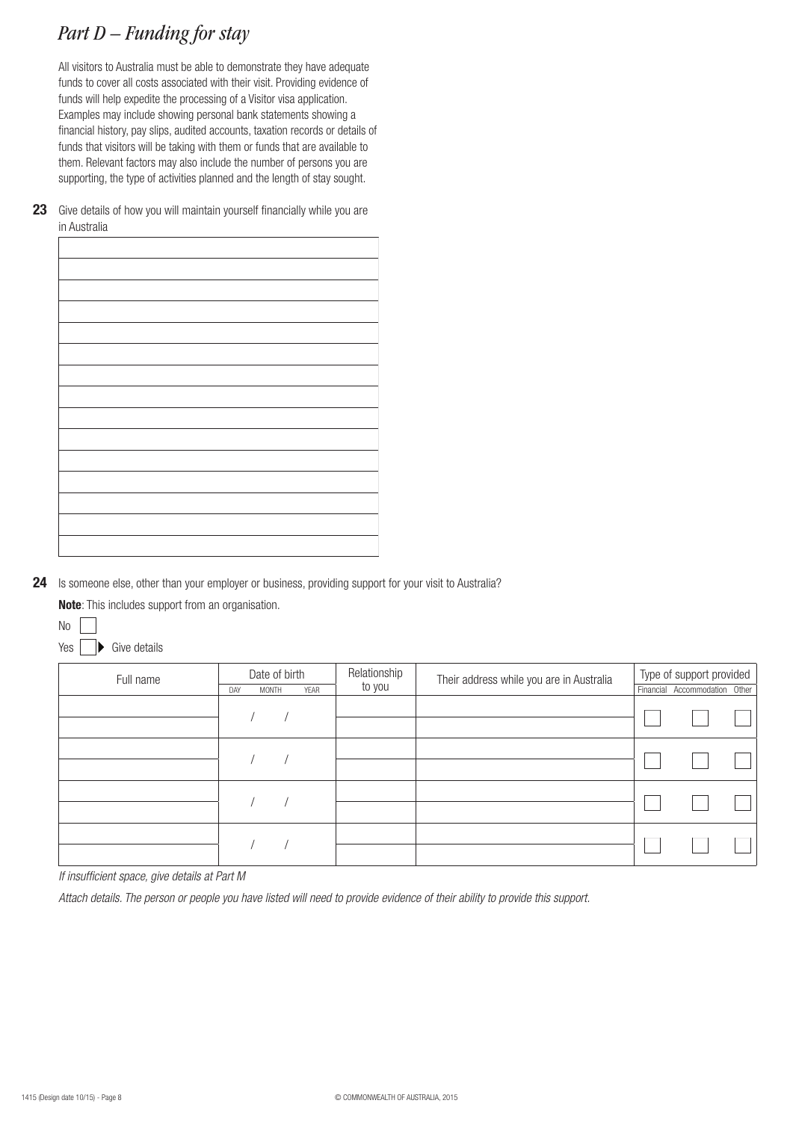# *Part D – Funding for stay*

All visitors to Australia must be able to demonstrate they have adequate funds to cover all costs associated with their visit. Providing evidence of funds will help expedite the processing of a Visitor visa application. Examples may include showing personal bank statements showing a financial history, pay slips, audited accounts, taxation records or details of funds that visitors will be taking with them or funds that are available to them. Relevant factors may also include the number of persons you are supporting, the type of activities planned and the length of stay sought.

**23** Give details of how you will maintain yourself financially while you are in Australia

24 Is someone else, other than your employer or business, providing support for your visit to Australia?

**Note**: This includes support from an organisation.



 $\rightarrow$  Give details Yes [

| Full name | Date of birth        | Relationship<br>to you | Their address while you are in Australia | Type of support provided      |  |  |
|-----------|----------------------|------------------------|------------------------------------------|-------------------------------|--|--|
|           | YEAR<br>DAY<br>MONTH |                        |                                          | Financial Accommodation Other |  |  |
|           |                      |                        |                                          |                               |  |  |
|           |                      |                        |                                          |                               |  |  |
|           |                      |                        |                                          |                               |  |  |
|           |                      |                        |                                          |                               |  |  |
|           |                      |                        |                                          |                               |  |  |

*If insufficient space, give details at Part M*

*Attach details. The person or people you have listed will need to provide evidence of their ability to provide this support.*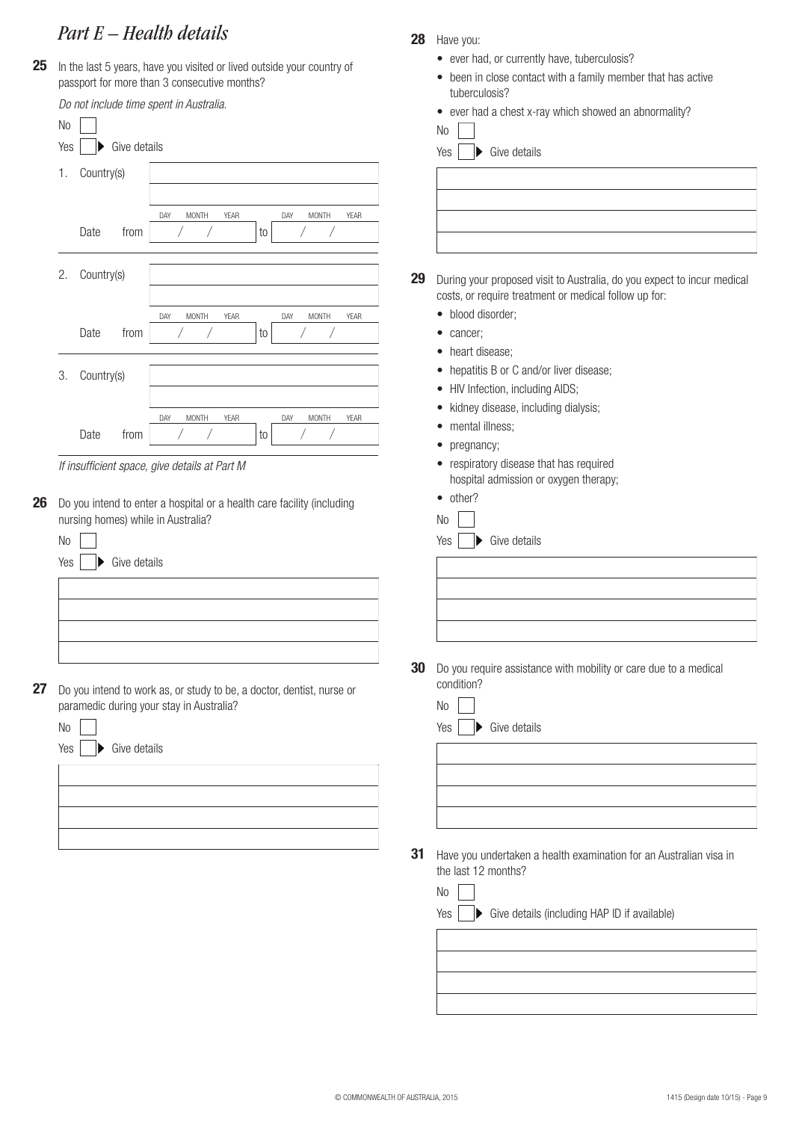## *Part E – Health details*

25 In the last 5 years, have you visited or lived outside your country of passport for more than 3 consecutive months?

|                | Do not include time spent in Australia.                                |    |                                                                                                                                  |
|----------------|------------------------------------------------------------------------|----|----------------------------------------------------------------------------------------------------------------------------------|
|                |                                                                        |    | ever had a chest x-ray which showed an abnormality?<br>$\bullet$                                                                 |
| N <sub>0</sub> |                                                                        |    | No                                                                                                                               |
| Yes            | Give details                                                           |    | Give details<br>Yes<br>▶                                                                                                         |
| 1.             | Country(s)                                                             |    |                                                                                                                                  |
|                |                                                                        |    |                                                                                                                                  |
|                | <b>MONTH</b><br>YEAR<br>MONTH<br>YEAR<br>DAY<br>DAY                    |    |                                                                                                                                  |
|                | Date<br>from<br>to                                                     |    |                                                                                                                                  |
|                |                                                                        |    |                                                                                                                                  |
| 2.             | Country(s)                                                             | 29 |                                                                                                                                  |
|                |                                                                        |    | During your proposed visit to Australia, do you expect to incur medical<br>costs, or require treatment or medical follow up for: |
|                | DAY<br>MONTH<br>YEAR<br>DAY<br><b>MONTH</b><br>YEAR                    |    | · blood disorder;                                                                                                                |
|                | Date<br>from<br>to                                                     |    | cancer;<br>$\bullet$                                                                                                             |
|                |                                                                        |    | heart disease;<br>$\bullet$                                                                                                      |
| 3.             |                                                                        |    | hepatitis B or C and/or liver disease;<br>$\bullet$                                                                              |
|                | Country(s)                                                             |    | HIV Infection, including AIDS;<br>$\bullet$                                                                                      |
|                |                                                                        |    | kidney disease, including dialysis;<br>$\bullet$                                                                                 |
|                | DAY<br>MONTH<br>YEAR<br>DAY<br>MONTH<br>YEAR<br>Date<br>from           |    | mental illness;<br>$\bullet$                                                                                                     |
|                | to                                                                     |    | pregnancy;<br>$\bullet$                                                                                                          |
|                | If insufficient space, give details at Part M                          |    | respiratory disease that has required<br>$\bullet$                                                                               |
|                |                                                                        |    |                                                                                                                                  |
|                |                                                                        |    | hospital admission or oxygen therapy;                                                                                            |
|                | Do you intend to enter a hospital or a health care facility (including |    | • other?                                                                                                                         |
|                | nursing homes) while in Australia?                                     |    | No                                                                                                                               |
| No             |                                                                        |    | Give details<br>Yes                                                                                                              |
| Yes            | Give details                                                           |    |                                                                                                                                  |
|                |                                                                        |    |                                                                                                                                  |
|                |                                                                        |    |                                                                                                                                  |
|                |                                                                        |    |                                                                                                                                  |
|                |                                                                        |    |                                                                                                                                  |
|                |                                                                        |    |                                                                                                                                  |
|                |                                                                        | 30 | Do you require assistance with mobility or care due to a medical                                                                 |
|                | Do you intend to work as, or study to be, a doctor, dentist, nurse or  |    | condition?                                                                                                                       |
|                | paramedic during your stay in Australia?                               |    | N <sub>0</sub>                                                                                                                   |
| No             |                                                                        |    | Give details<br>Yes                                                                                                              |
| Yes            | Give details                                                           |    |                                                                                                                                  |
|                |                                                                        |    |                                                                                                                                  |
|                |                                                                        |    |                                                                                                                                  |
|                |                                                                        |    |                                                                                                                                  |
|                |                                                                        |    |                                                                                                                                  |
|                |                                                                        |    |                                                                                                                                  |
|                |                                                                        | 31 | Have you undertaken a health examination for an Australian visa in<br>the last 12 months?                                        |
|                |                                                                        |    |                                                                                                                                  |
|                |                                                                        |    | N <sub>0</sub><br>Give details (including HAP ID if available)<br>Yes                                                            |

**28** Have you:

• ever had, or currently have, tuberculosis?

• been in close contact with a family member that has active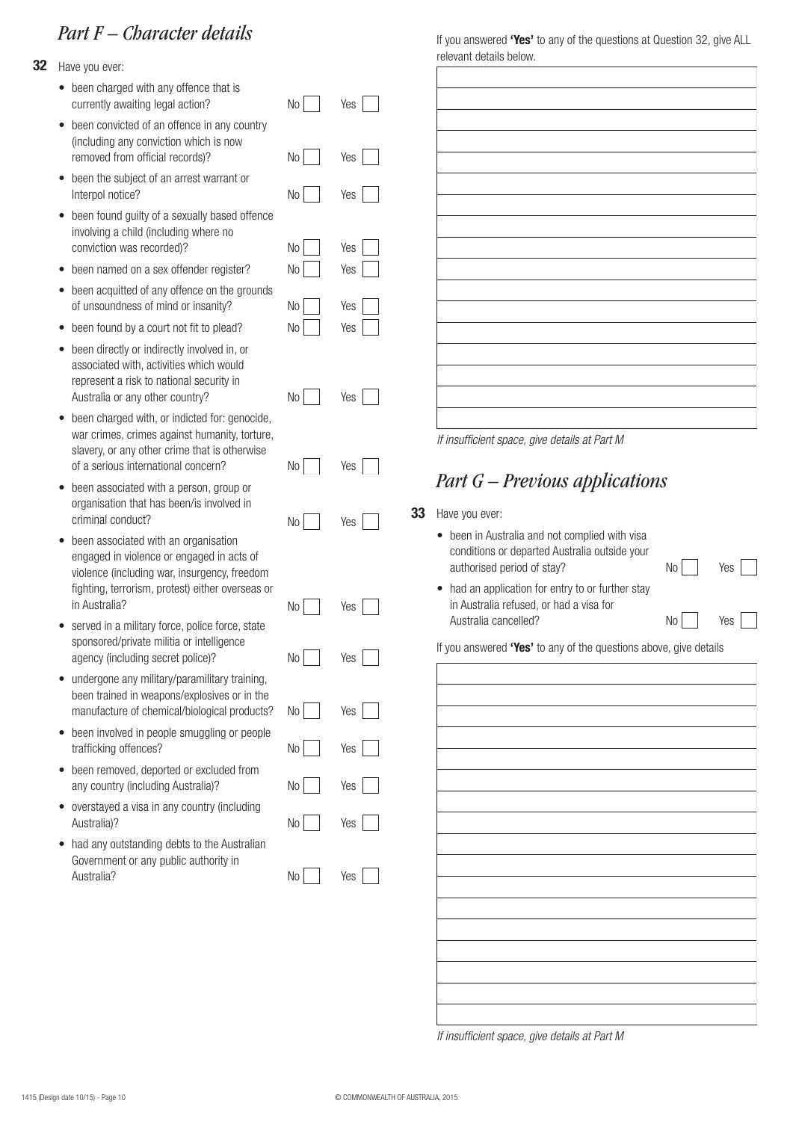## *Part F – Character details*

- **32** Have you ever:
	- been charged with any offence that is currently awaiting legal action?
	- been convicted of an offence in any country (including any conviction which is now removed from official records)?
	- been the subject of an arrest warrant or Interpol notice?
	- been found guilty of a sexually based offence involving a child (including where no conviction was recorded)?
	- been named on a sex offender register?
	- been acquitted of any offence on the grounds of unsoundness of mind or insanity?
	- been found by a court not fit to plead?
	- been directly or indirectly involved in, or associated with, activities which would represent a risk to national security in Australia or any other country?
	- been charged with, or indicted for: genocide. war crimes, crimes against humanity, torture, slavery, or any other crime that is otherwise of a serious international concern?
	- been associated with a person, group or organisation that has been/is involved in criminal conduct?
	- been associated with an organisation engaged in violence or engaged in acts of violence (including war, insurgency, freedom fighting, terrorism, protest) either overseas or in Australia?
	- served in a military force, police force, state sponsored/private militia or intelligence agency (including secret police)?
	- undergone any military/paramilitary training, been trained in weapons/explosives or in the manufacture of chemical/biological products?
	- been involved in people smuggling or people trafficking offences?
	- been removed, deported or excluded from any country (including Australia)?
	- overstayed a visa in any country (including Australia)?
	- had any outstanding debts to the Australian Government or any public authority in Australia?

No No Yes Yes No Yes No Yes No Yes No Yes No Yes No Yes No Yes No Yes No Yes No Yes No Yes No Yes No Yes

No Yes

No

Yes

If you answered **'Yes'** to any of the questions at Question 32, give ALL relevant details below.

*If insufficient space, give details at Part M*

## *Part G – Previous applications*

#### **33** Have you ever:

| • been in Australia and not complied with visa<br>conditions or departed Australia outside your |      |     |
|-------------------------------------------------------------------------------------------------|------|-----|
| authorised period of stay?                                                                      | $No$ | Yes |
| • had an application for entry to or further stay<br>in Auetralia refueed, or had a viea for    |      |     |

No

Yes

in Australia refused, or had a visa for Australia cancelled?

If you answered **'Yes'** to any of the questions above, give details

*If insufficient space, give details at Part M*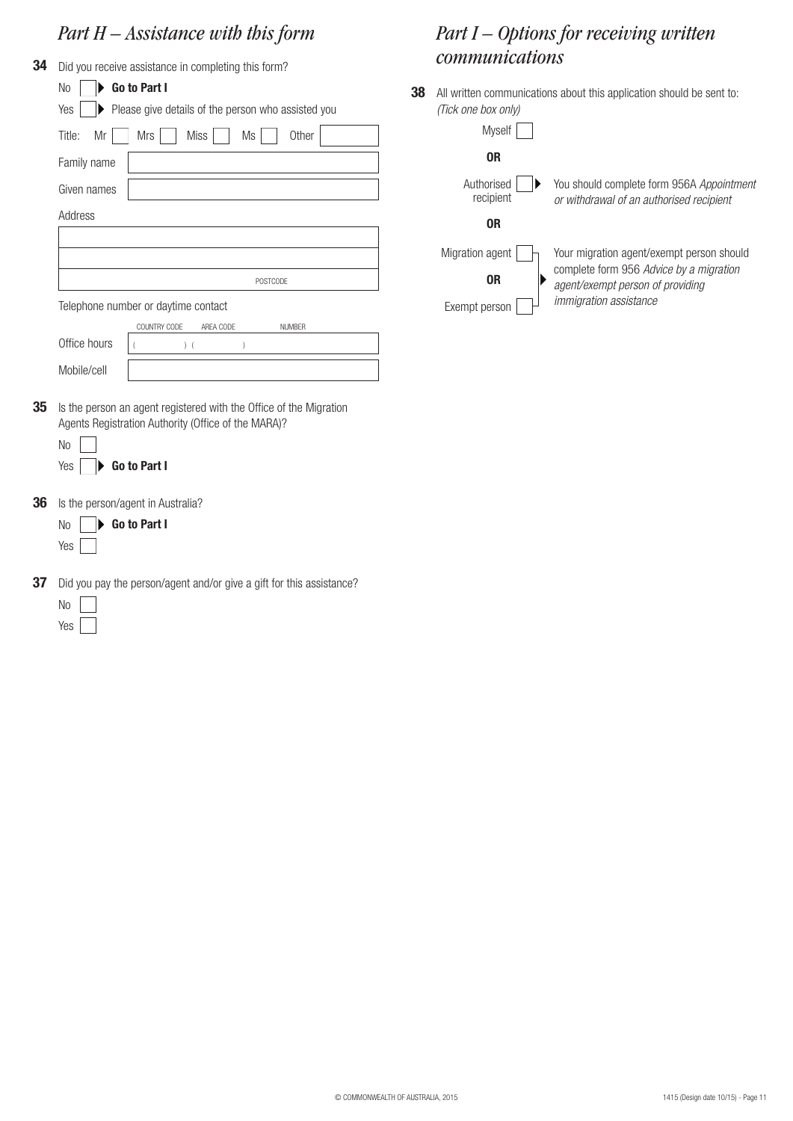# *Part H – Assistance with this form*

| 34 | Did you receive assistance in completing this form?                                                                                                           |  |  |  |  |
|----|---------------------------------------------------------------------------------------------------------------------------------------------------------------|--|--|--|--|
|    | <b>No</b><br>Go to Part I                                                                                                                                     |  |  |  |  |
|    | Please give details of the person who assisted you<br>Yes                                                                                                     |  |  |  |  |
|    | Mr<br><b>Mrs</b><br><b>Miss</b><br>Title:<br>Ms<br>Other                                                                                                      |  |  |  |  |
|    | Family name                                                                                                                                                   |  |  |  |  |
|    | Given names                                                                                                                                                   |  |  |  |  |
|    | Address                                                                                                                                                       |  |  |  |  |
|    |                                                                                                                                                               |  |  |  |  |
|    |                                                                                                                                                               |  |  |  |  |
|    | POSTCODE                                                                                                                                                      |  |  |  |  |
|    | Telephone number or daytime contact                                                                                                                           |  |  |  |  |
|    | COUNTRY CODE<br>AREA CODE<br><b>NUMBER</b>                                                                                                                    |  |  |  |  |
|    | Office hours<br>$)$ (<br>(<br>1                                                                                                                               |  |  |  |  |
|    | Mobile/cell                                                                                                                                                   |  |  |  |  |
| 35 | Is the person an agent registered with the Office of the Migration<br>Agents Registration Authority (Office of the MARA)?<br><b>No</b><br>Go to Part I<br>Yes |  |  |  |  |
| 36 | Is the person/agent in Australia?                                                                                                                             |  |  |  |  |
|    | Go to Part I<br>N <sub>0</sub>                                                                                                                                |  |  |  |  |
|    | Yes                                                                                                                                                           |  |  |  |  |
| 37 | Did you pay the person/agent and/or give a gift for this assistance?                                                                                          |  |  |  |  |
|    | N <sub>o</sub>                                                                                                                                                |  |  |  |  |

Yes<sup>[1]</sup>

## *Part I – Options for receiving written communications*

**38** All written communications about this application should be sent to: *(Tick one box only)*

| <b>Myself</b>           |                                                                                       |
|-------------------------|---------------------------------------------------------------------------------------|
| 0R                      |                                                                                       |
| Authorised<br>recipient | You should complete form 956A Appointment<br>or withdrawal of an authorised recipient |
| 0R                      |                                                                                       |
| Migration agent         | Your migration agent/exempt person should                                             |
| 0R                      | complete form 956 Advice by a migration<br>agent/exempt person of providing           |
| Exempt person           | <i>immigration assistance</i>                                                         |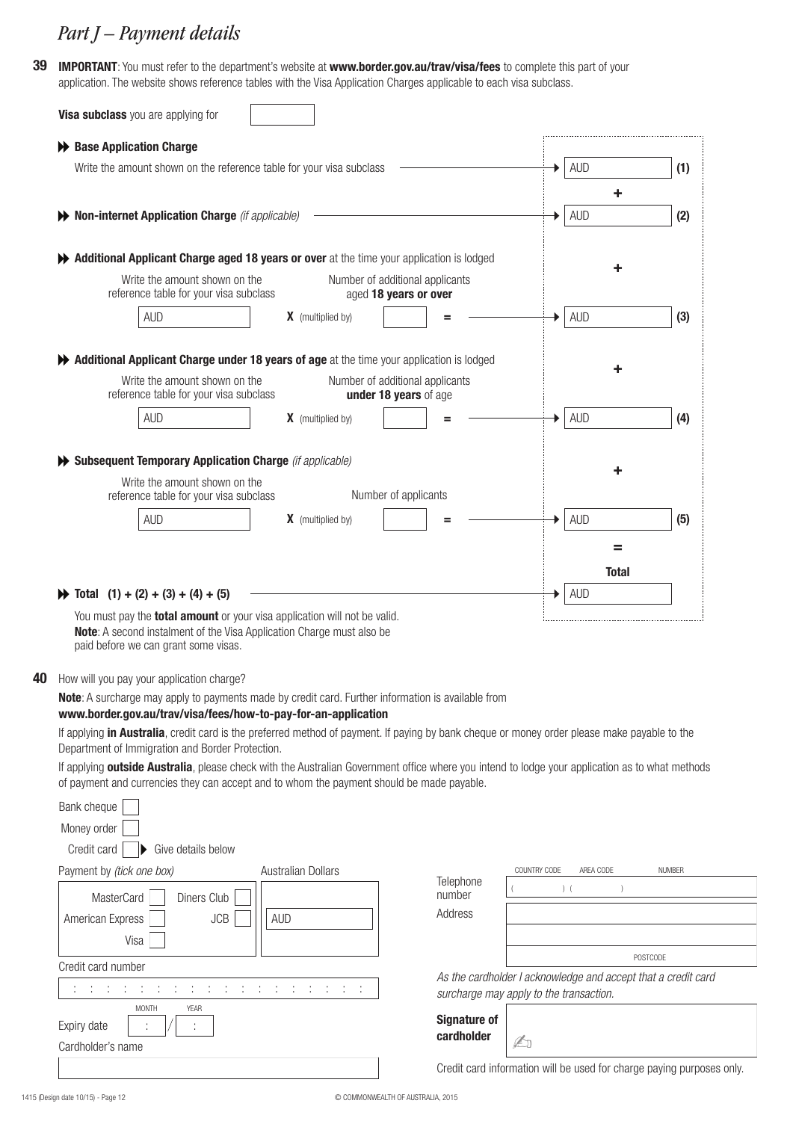## *Part J – Payment details*

**39 IMPORTANT**: You must refer to the department's website at **www.border.gov.au/trav/visa/fees** to complete this part of your application. The website shows reference tables with the Visa Application Charges applicable to each visa subclass.

| Visa subclass you are applying for                                                                                                                                                                                                                                 |                           |                                                          |              |                                                               |               |
|--------------------------------------------------------------------------------------------------------------------------------------------------------------------------------------------------------------------------------------------------------------------|---------------------------|----------------------------------------------------------|--------------|---------------------------------------------------------------|---------------|
| ← Base Application Charge                                                                                                                                                                                                                                          |                           |                                                          |              |                                                               |               |
| Write the amount shown on the reference table for your visa subclass                                                                                                                                                                                               |                           |                                                          |              | <b>AUD</b>                                                    | (1)           |
|                                                                                                                                                                                                                                                                    |                           |                                                          |              | ٠                                                             |               |
| Non-internet Application Charge (if applicable)                                                                                                                                                                                                                    |                           |                                                          |              | <b>AUD</b>                                                    | (2)           |
| Additional Applicant Charge aged 18 years or over at the time your application is lodged                                                                                                                                                                           |                           |                                                          |              |                                                               |               |
| Write the amount shown on the<br>reference table for your visa subclass                                                                                                                                                                                            |                           | Number of additional applicants<br>aged 18 years or over |              |                                                               |               |
| <b>AUD</b>                                                                                                                                                                                                                                                         | <b>X</b> (multiplied by)  |                                                          |              | <b>AUD</b>                                                    | (3)           |
|                                                                                                                                                                                                                                                                    |                           |                                                          |              |                                                               |               |
| Additional Applicant Charge under 18 years of age at the time your application is lodged<br>Write the amount shown on the<br>reference table for your visa subclass                                                                                                |                           | Number of additional applicants<br>under 18 years of age |              |                                                               |               |
| <b>AUD</b>                                                                                                                                                                                                                                                         | <b>X</b> (multiplied by)  |                                                          |              | <b>AUD</b>                                                    | (4)           |
|                                                                                                                                                                                                                                                                    |                           |                                                          |              |                                                               |               |
| Subsequent Temporary Application Charge (if applicable)                                                                                                                                                                                                            |                           |                                                          |              |                                                               |               |
| Write the amount shown on the<br>reference table for your visa subclass                                                                                                                                                                                            |                           | Number of applicants                                     |              |                                                               |               |
| <b>AUD</b>                                                                                                                                                                                                                                                         | <b>X</b> (multiplied by)  |                                                          |              | <b>AUD</b>                                                    | (5)           |
|                                                                                                                                                                                                                                                                    |                           |                                                          |              |                                                               |               |
|                                                                                                                                                                                                                                                                    |                           |                                                          |              | =                                                             |               |
|                                                                                                                                                                                                                                                                    |                           |                                                          |              | <b>Total</b>                                                  |               |
| $\blacktriangleright$ Total (1) + (2) + (3) + (4) + (5)                                                                                                                                                                                                            |                           |                                                          |              | <b>AUD</b>                                                    |               |
| You must pay the <b>total amount</b> or your visa application will not be valid.<br>Note: A second instalment of the Visa Application Charge must also be<br>paid before we can grant some visas.                                                                  |                           |                                                          |              |                                                               |               |
| How will you pay your application charge?                                                                                                                                                                                                                          |                           |                                                          |              |                                                               |               |
| Note: A surcharge may apply to payments made by credit card. Further information is available from                                                                                                                                                                 |                           |                                                          |              |                                                               |               |
| www.border.gov.au/trav/visa/fees/how-to-pay-for-an-application<br>If applying in Australia, credit card is the preferred method of payment. If paying by bank cheque or money order please make payable to the<br>Department of Immigration and Border Protection. |                           |                                                          |              |                                                               |               |
| If applying outside Australia, please check with the Australian Government office where you intend to lodge your application as to what methods<br>of payment and currencies they can accept and to whom the payment should be made payable.                       |                           |                                                          |              |                                                               |               |
| Bank cheque                                                                                                                                                                                                                                                        |                           |                                                          |              |                                                               |               |
| Money order                                                                                                                                                                                                                                                        |                           |                                                          |              |                                                               |               |
| Credit card<br>Give details below                                                                                                                                                                                                                                  |                           |                                                          |              |                                                               |               |
| Payment by (tick one box)                                                                                                                                                                                                                                          | <b>Australian Dollars</b> |                                                          | COUNTRY CODE | AREA CODE                                                     | <b>NUMBER</b> |
| Diners Club<br>MasterCard                                                                                                                                                                                                                                          |                           | Telephone<br>number                                      |              | $)$ (                                                         |               |
| JCB<br>American Express<br>Visa                                                                                                                                                                                                                                    | <b>AUD</b>                | Address                                                  |              |                                                               |               |
|                                                                                                                                                                                                                                                                    |                           |                                                          |              |                                                               | POSTCODE      |
| Credit card number                                                                                                                                                                                                                                                 |                           |                                                          |              | As the cardholder I acknowledge and accept that a credit card |               |
| ÷<br>÷<br><b>MONTH</b><br>YEAR                                                                                                                                                                                                                                     | ÷<br>コール・レール<br>- 1       | surcharge may apply to the transaction.                  |              |                                                               |               |
| Expiry date                                                                                                                                                                                                                                                        |                           | <b>Signature of</b>                                      |              |                                                               |               |

Credit card information will be used for charge paying purposes only.

Cardholder's name

**40**

**cardholder**

 $\mathbb{Z}_0$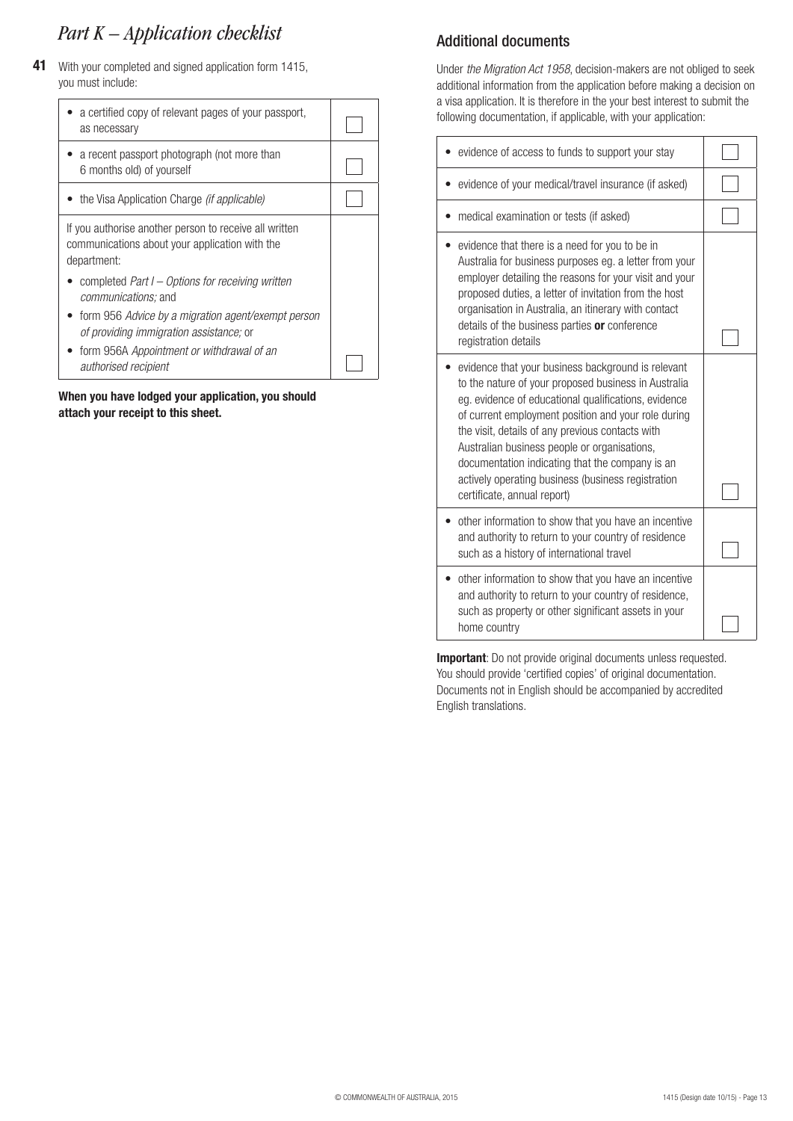## *Part K – Application checklist*

**41** With your completed and signed application form 1415, you must include:

| a certified copy of relevant pages of your passport,<br>as necessary                                                                                                             |  |
|----------------------------------------------------------------------------------------------------------------------------------------------------------------------------------|--|
| a recent passport photograph (not more than<br>6 months old) of yourself                                                                                                         |  |
| • the Visa Application Charge <i>(if applicable)</i>                                                                                                                             |  |
| If you authorise another person to receive all written<br>communications about your application with the<br>department:                                                          |  |
| completed Part I – Options for receiving written<br><i>communications</i> ; and<br>form 956 Advice by a migration agent/exempt person<br>of providing immigration assistance; or |  |
| form 956A Appointment or withdrawal of an<br>authorised recipient                                                                                                                |  |

**When you have lodged your application, you should attach your receipt to this sheet.**

## Additional documents

Under *the Migration Act 1958*, decision-makers are not obliged to seek additional information from the application before making a decision on a visa application. It is therefore in the your best interest to submit the following documentation, if applicable, with your application:

| evidence of access to funds to support your stay                                                                                                                                                                                                                                                                                                                                                                                                                      |  |
|-----------------------------------------------------------------------------------------------------------------------------------------------------------------------------------------------------------------------------------------------------------------------------------------------------------------------------------------------------------------------------------------------------------------------------------------------------------------------|--|
| evidence of your medical/travel insurance (if asked)                                                                                                                                                                                                                                                                                                                                                                                                                  |  |
| medical examination or tests (if asked)                                                                                                                                                                                                                                                                                                                                                                                                                               |  |
| evidence that there is a need for you to be in<br>Australia for business purposes eg. a letter from your<br>employer detailing the reasons for your visit and your<br>proposed duties, a letter of invitation from the host<br>organisation in Australia, an itinerary with contact<br>details of the business parties or conference<br>registration details                                                                                                          |  |
| evidence that your business background is relevant<br>to the nature of your proposed business in Australia<br>eg. evidence of educational qualifications, evidence<br>of current employment position and your role during<br>the visit, details of any previous contacts with<br>Australian business people or organisations,<br>documentation indicating that the company is an<br>actively operating business (business registration<br>certificate, annual report) |  |
| other information to show that you have an incentive<br>and authority to return to your country of residence<br>such as a history of international travel                                                                                                                                                                                                                                                                                                             |  |
| other information to show that you have an incentive<br>and authority to return to your country of residence,<br>such as property or other significant assets in your<br>home country                                                                                                                                                                                                                                                                                 |  |

**Important**: Do not provide original documents unless requested. You should provide 'certified copies' of original documentation. Documents not in English should be accompanied by accredited English translations.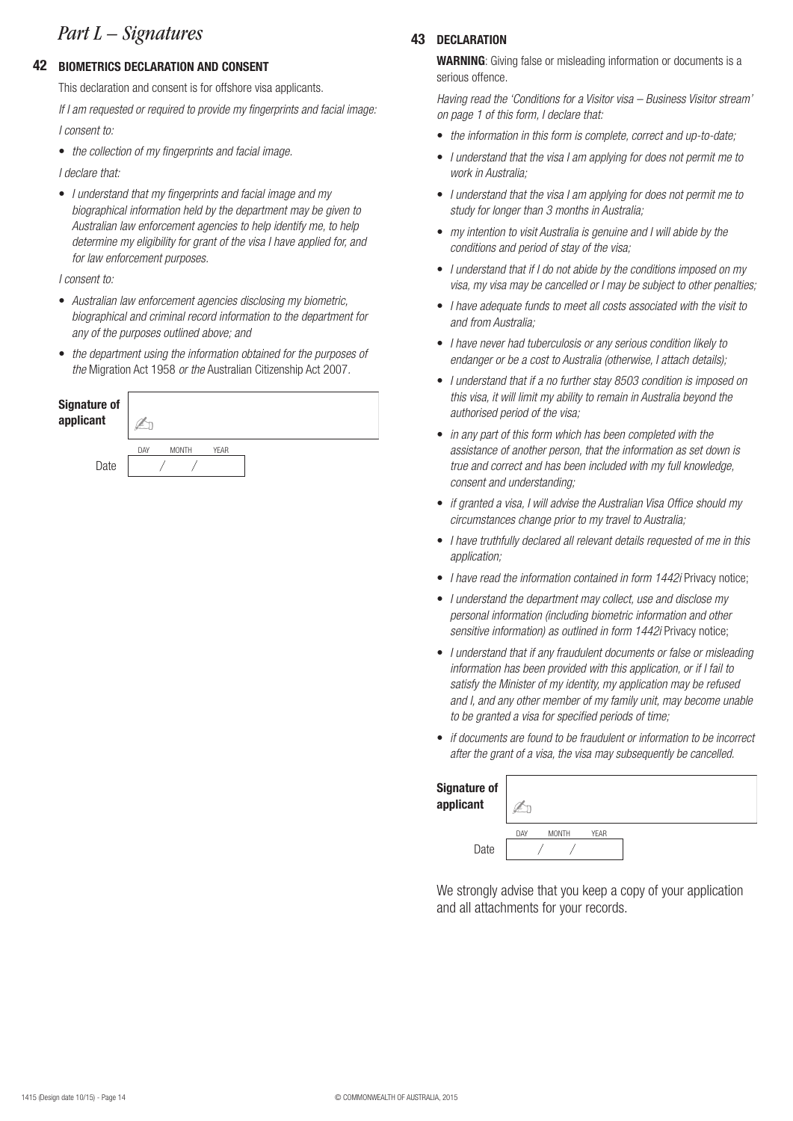## *Part L – Signatures* **<sup>43</sup>**

#### **42 BIOMETRICS DECLARATION AND CONSENT**

This declaration and consent is for offshore visa applicants.

*I consent to: If I am requested or required to provide my fingerprints and facial image:*

• *the collection of my fingerprints and facial image.*

*I declare that:*

• *I understand that my fingerprints and facial image and my biographical information held by the department may be given to Australian law enforcement agencies to help identify me, to help determine my eligibility for grant of the visa I have applied for, and for law enforcement purposes.*

*I consent to:*

- *Australian law enforcement agencies disclosing my biometric, biographical and criminal record information to the department for any of the purposes outlined above; and*
- *the department using the information obtained for the purposes of the* Migration Act 1958 *or the* Australian Citizenship Act 2007*.*

| Signature of<br>applicant |     |              |             |  |
|---------------------------|-----|--------------|-------------|--|
|                           | DAY | <b>MONTH</b> | <b>YEAR</b> |  |
| Date                      |     |              |             |  |

#### **43 DECLARATION**

**WARNING**: Giving false or misleading information or documents is a serious offence.

*Having read the 'Conditions for a Visitor visa – Business Visitor stream' on page 1 of this form, I declare that:*

- *the information in this form is complete, correct and up-to-date;*
- *I understand that the visa I am applying for does not permit me to work in Australia;*
- *I understand that the visa I am applying for does not permit me to study for longer than 3 months in Australia;*
- *my intention to visit Australia is genuine and I will abide by the conditions and period of stay of the visa;*
- *I understand that if I do not abide by the conditions imposed on my visa, my visa may be cancelled or I may be subject to other penalties;*
- *I have adequate funds to meet all costs associated with the visit to and from Australia;*
- *I have never had tuberculosis or any serious condition likely to endanger or be a cost to Australia (otherwise, I attach details);*
- *I understand that if a no further stay 8503 condition is imposed on this visa, it will limit my ability to remain in Australia beyond the authorised period of the visa;*
- *in any part of this form which has been completed with the assistance of another person, that the information as set down is true and correct and has been included with my full knowledge, consent and understanding;*
- *if granted a visa, I will advise the Australian Visa Office should my circumstances change prior to my travel to Australia;*
- *I have truthfully declared all relevant details requested of me in this application;*
- *I have read the information contained in form 1442i* Privacy notice;
- *I understand the department may collect, use and disclose my personal information (including biometric information and other*  sensitive information) as outlined in form 1442i Privacy notice;
- *I understand that if any fraudulent documents or false or misleading information has been provided with this application, or if I fail to satisfy the Minister of my identity, my application may be refused and I, and any other member of my family unit, may become unable to be granted a visa for specified periods of time;*
- *if documents are found to be fraudulent or information to be incorrect after the grant of a visa, the visa may subsequently be cancelled.*

| <b>Signature of</b><br>applicant |     |              |             |  |
|----------------------------------|-----|--------------|-------------|--|
|                                  | DAY | <b>MONTH</b> | <b>YEAR</b> |  |
| Date                             |     |              |             |  |

We strongly advise that you keep a copy of your application and all attachments for your records.